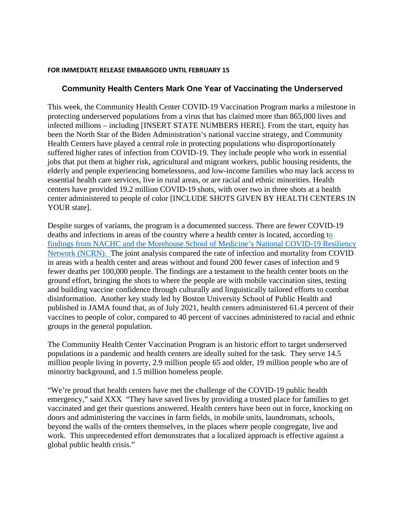## **FOR IMMEDIATE RELEASE EMBARGOED UNTIL FEBRUARY 15**

## **Community Health Centers Mark One Year of Vaccinating the Underserved**

This week, the Community Health Center COVID-19 Vaccination Program marks a milestone in protecting underserved populations from a virus that has claimed more than 865,000 lives and infected millions – including [INSERT STATE NUMBERS HERE]. From the start, equity has been the North Star of the Biden Administration's national vaccine strategy, and Community Health Centers have played a central role in protecting populations who disproportionately suffered higher rates of infection from COVID-19. They include people who work in essential jobs that put them at higher risk, agricultural and migrant workers, public housing residents, the elderly and people experiencing homelessness, and low-income families who may lack access to essential health care services, live in rural areas, or are racial and ethnic minorities. Health centers have provided 19.2 million COVID-19 shots, with over two in three shots at a health center administered to people of color [INCLUDE SHOTS GIVEN BY HEALTH CENTERS IN YOUR state].

Despite surges of variants, the program is a documented success. There are fewer COVID-19 deaths and infections in areas of the country where a health center is located, according [to](https://bit.ly/healthcentersinfographic)  [findings from NACHC and the Morehouse School of Medicine's National COVID-19 Resiliency](https://bit.ly/healthcentersinfographic)  [Network \(NCRN\).](https://bit.ly/healthcentersinfographic) The joint analysis compared the rate of infection and mortality from COVID in areas with a health center and areas without and found 200 fewer cases of infection and 9 fewer deaths per 100,000 people. The findings are a testament to the health center boots on the ground effort, bringing the shots to where the people are with mobile vaccination sites, testing and building vaccine confidence through culturally and linguistically tailored efforts to combat disinformation. Another key study led by Boston University School of Public Health and published in JAMA found that, as of July 2021, health centers administered 61.4 percent of their vaccines to people of color, compared to 40 percent of vaccines administered to racial and ethnic groups in the general population.

The Community Health Center Vaccination Program is an historic effort to target underserved populations in a pandemic and health centers are ideally suited for the task. They serve 14.5 million people living in poverty, 2.9 million people 65 and older, 19 million people who are of minority background, and 1.5 million homeless people.

"We're proud that health centers have met the challenge of the COVID-19 public health emergency," said XXX "They have saved lives by providing a trusted place for families to get vaccinated and get their questions answered. Health centers have been out in force, knocking on doors and administering the vaccines in farm fields, in mobile units, laundromats, schools, beyond the walls of the centers themselves, in the places where people congregate, live and work. This unprecedented effort demonstrates that a localized approach is effective against a global public health crisis."